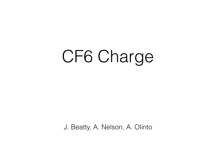## CF6 Charge

J. Beatty, A. Nelson, A. Olinto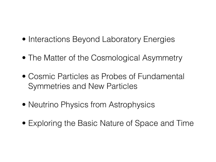- Interactions Beyond Laboratory Energies
- The Matter of the Cosmological Asymmetry
- Cosmic Particles as Probes of Fundamental Symmetries and New Particles
- Neutrino Physics from Astrophysics
- Exploring the Basic Nature of Space and Time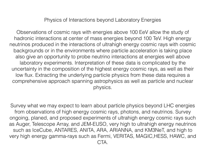Physics of Interactions beyond Laboratory Energies

Observations of cosmic rays with energies above 100 EeV allow the study of hadronic interactions at center of mass energies beyond 100 TeV. High energy neutrinos produced in the interactions of ultrahigh energy cosmic rays with cosmic backgrounds or in the environments where particle acceleration is taking place also give an opportunity to probe neutrino interactions at energies well above laboratory experiments. Interpretation of these data is complicated by the uncertainty in the composition of the highest energy cosmic rays, as well as their low flux. Extracting the underlying particle physics from these data requires a comprehensive approach spanning astrophysics as well as particle and nuclear physics.

Survey what we may expect to learn about particle physics beyond LHC energies from observations of high energy cosmic rays, photons, and neutrinos. Survey ongoing, planed, and proposed experiments of ultrahigh energy cosmic rays such as Auger, Telescope Array, and JEM-EUSO, very high to ultrahigh energy neutrinos such as IceCube, ANTARES, ANITA, ARA, ARIANNA, and KM3NeT, and high to very high energy gamma-rays such as Fermi, VERITAS, MAGIC,HESS, HAWC, and CTA.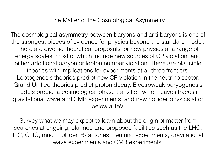The cosmological asymmetry between baryons and anti baryons is one of the strongest pieces of evidence for physics beyond the standard model. There are diverse theoretical proposals for new physics at a range of energy scales, most of which include new sources of CP violation, and either additional baryon or lepton number violation. There are plausible theories with implications for experiments at all three frontiers. Leptogenesis theories predict new CP violation in the neutrino sector. Grand Unified theories predict proton decay. Electroweak baryogenesis models predict a cosmological phase transition which leaves traces in gravitational wave and CMB experiments, and new collider physics at or below a TeV.

Survey what we may expect to learn about the origin of matter from searches at ongoing, planned and proposed facilities such as the LHC, ILC, CLIC, muon collider, B-factories, neutrino experiments, gravitational wave experiments and CMB experiments.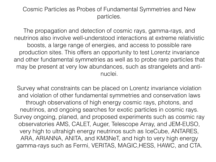## Cosmic Particles as Probes of Fundamental Symmetries and New particles.

The propagation and detection of cosmic rays, gamma-rays, and neutrinos also involve well-understood interactions at extreme relativistic boosts, a large range of energies, and access to possible rare production sites. This offers an opportunity to test Lorentz invariance and other fundamental symmetries as well as to probe rare particles that may be present at very low abundances, such as strangelets and antinuclei.

Survey what constraints can be placed on Lorentz invariance violation and violation of other fundamental symmetries and conservation laws through observations of high energy cosmic rays, photons, and neutrinos, and ongoing searches for exotic particles in cosmic rays. Survey ongoing, planed, and proposed experiments such as cosmic ray observatories AMS, CALET, Auger, Telescope Array, and JEM-EUSO, very high to ultrahigh energy neutrinos such as IceCube, ANTARES, ARA, ARIANNA, ANITA, and KM3NeT, and high to very high energy gamma-rays such as Fermi, VERITAS, MAGIC,HESS, HAWC, and CTA.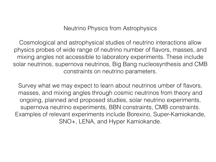Neutrino Physics from Astrophysics

Cosmological and astrophysical studies of neutrino interactions allow physics probes of wide range of neutrino number of flavors, masses, and mixing angles not accessible to laboratory experiments. These include solar neutrinos, supernova neutrinos, Big Bang nucleosynthesis and CMB constraints on neutrino parameters.

Survey what we may expect to learn about neutrinos umber of flavors, masses, and mixing angles through cosmic neutrinos from theory and ongoing, planned and proposed studies, solar neutrino experiments, supernova neutrino experiments, BBN constraints, CMB constraints. Examples of relevant experiments include Borexino, Super-Kamiokande, SNO+, LENA, and Hyper Kamiokande.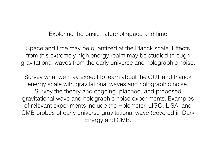Exploring the basic nature of space and time

Space and time may be quantized at the Planck scale. Effects from this extremely high energy realm may be studied through gravitational waves from the early universe and holographic noise.

Survey what we may expect to learn about the GUT and Planck energy scale with gravitational waves and holographic noise. Survey the theory and ongoing, planned, and proposed gravitational wave and holographic noise experiments. Examples of relevant experiments include the Holometer, LIGO, LISA, and CMB probes of early universe gravitational wave (covered in Dark Energy and CMB.